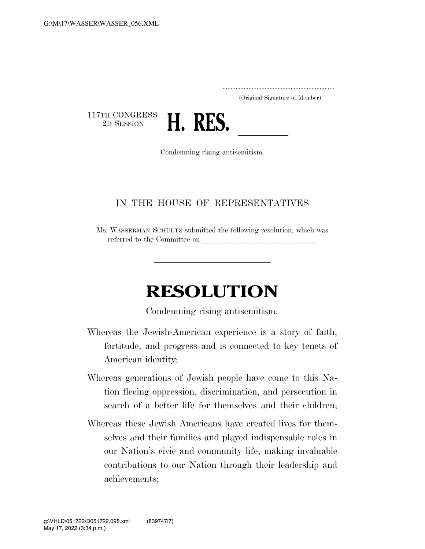.....................................................................

(Original Signature of Member)

117TH CONGRESS<br>2D SESSION



Condemning rising antisemitism.

## IN THE HOUSE OF REPRESENTATIVES

Ms. WASSERMAN SCHULTZ submitted the following resolution; which was referred to the Committee on

## **RESOLUTION**

Condemning rising antisemitism.

- Whereas the Jewish-American experience is a story of faith, fortitude, and progress and is connected to key tenets of American identity;
- Whereas generations of Jewish people have come to this Nation fleeing oppression, discrimination, and persecution in search of a better life for themselves and their children;
- Whereas these Jewish Americans have created lives for themselves and their families and played indispensable roles in our Nation's civic and community life, making invaluable contributions to our Nation through their leadership and achievements;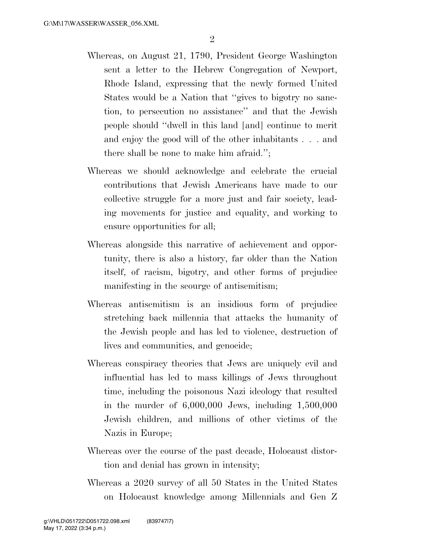- Whereas, on August 21, 1790, President George Washington sent a letter to the Hebrew Congregation of Newport, Rhode Island, expressing that the newly formed United States would be a Nation that ''gives to bigotry no sanction, to persecution no assistance'' and that the Jewish people should ''dwell in this land [and] continue to merit and enjoy the good will of the other inhabitants . . . and there shall be none to make him afraid.'';
- Whereas we should acknowledge and celebrate the crucial contributions that Jewish Americans have made to our collective struggle for a more just and fair society, leading movements for justice and equality, and working to ensure opportunities for all;
- Whereas alongside this narrative of achievement and opportunity, there is also a history, far older than the Nation itself, of racism, bigotry, and other forms of prejudice manifesting in the scourge of antisemitism;
- Whereas antisemitism is an insidious form of prejudice stretching back millennia that attacks the humanity of the Jewish people and has led to violence, destruction of lives and communities, and genocide;
- Whereas conspiracy theories that Jews are uniquely evil and influential has led to mass killings of Jews throughout time, including the poisonous Nazi ideology that resulted in the murder of 6,000,000 Jews, including 1,500,000 Jewish children, and millions of other victims of the Nazis in Europe;
- Whereas over the course of the past decade, Holocaust distortion and denial has grown in intensity;
- Whereas a 2020 survey of all 50 States in the United States on Holocaust knowledge among Millennials and Gen Z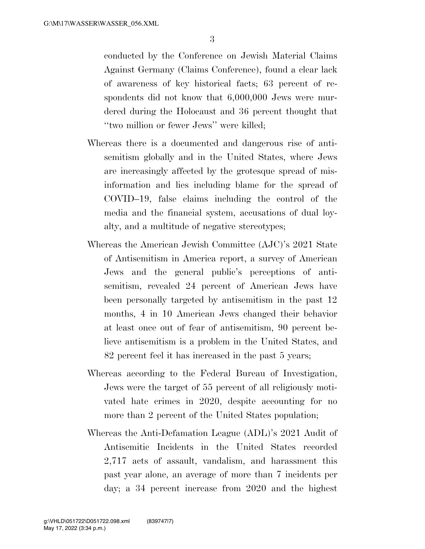conducted by the Conference on Jewish Material Claims Against Germany (Claims Conference), found a clear lack of awareness of key historical facts; 63 percent of respondents did not know that 6,000,000 Jews were murdered during the Holocaust and 36 percent thought that ''two million or fewer Jews'' were killed;

- Whereas there is a documented and dangerous rise of antisemitism globally and in the United States, where Jews are increasingly affected by the grotesque spread of misinformation and lies including blame for the spread of COVID–19, false claims including the control of the media and the financial system, accusations of dual loyalty, and a multitude of negative stereotypes;
- Whereas the American Jewish Committee (AJC)'s 2021 State of Antisemitism in America report, a survey of American Jews and the general public's perceptions of antisemitism, revealed 24 percent of American Jews have been personally targeted by antisemitism in the past 12 months, 4 in 10 American Jews changed their behavior at least once out of fear of antisemitism, 90 percent believe antisemitism is a problem in the United States, and 82 percent feel it has increased in the past 5 years;
- Whereas according to the Federal Bureau of Investigation, Jews were the target of 55 percent of all religiously motivated hate crimes in 2020, despite accounting for no more than 2 percent of the United States population;
- Whereas the Anti-Defamation League (ADL)'s 2021 Audit of Antisemitic Incidents in the United States recorded 2,717 acts of assault, vandalism, and harassment this past year alone, an average of more than 7 incidents per day; a 34 percent increase from 2020 and the highest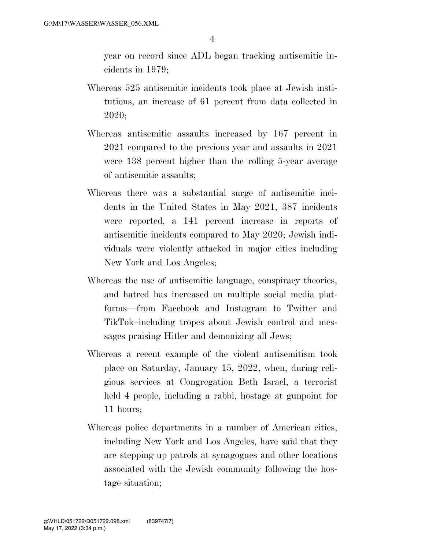year on record since ADL began tracking antisemitic incidents in 1979;

- Whereas 525 antisemitic incidents took place at Jewish institutions, an increase of 61 percent from data collected in 2020;
- Whereas antisemitic assaults increased by 167 percent in 2021 compared to the previous year and assaults in 2021 were 138 percent higher than the rolling 5-year average of antisemitic assaults;
- Whereas there was a substantial surge of antisemitic incidents in the United States in May 2021, 387 incidents were reported, a 141 percent increase in reports of antisemitic incidents compared to May 2020; Jewish individuals were violently attacked in major cities including New York and Los Angeles;
- Whereas the use of antisemitic language, conspiracy theories, and hatred has increased on multiple social media platforms—from Facebook and Instagram to Twitter and TikTok–including tropes about Jewish control and messages praising Hitler and demonizing all Jews;
- Whereas a recent example of the violent antisemitism took place on Saturday, January 15, 2022, when, during religious services at Congregation Beth Israel, a terrorist held 4 people, including a rabbi, hostage at gunpoint for 11 hours;
- Whereas police departments in a number of American cities, including New York and Los Angeles, have said that they are stepping up patrols at synagogues and other locations associated with the Jewish community following the hostage situation;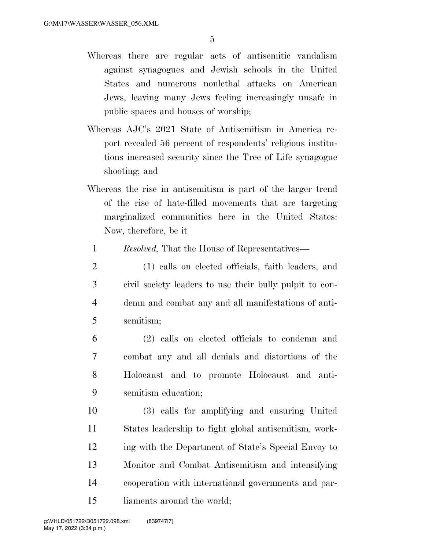- Whereas there are regular acts of antisemitic vandalism against synagogues and Jewish schools in the United States and numerous nonlethal attacks on American Jews, leaving many Jews feeling increasingly unsafe in public spaces and houses of worship;
- Whereas AJC's 2021 State of Antisemitism in America report revealed 56 percent of respondents' religious institutions increased security since the Tree of Life synagogue shooting; and
- Whereas the rise in antisemitism is part of the larger trend of the rise of hate-filled movements that are targeting marginalized communities here in the United States: Now, therefore, be it
	- 1 *Resolved,* That the House of Representatives—
- 2 (1) calls on elected officials, faith leaders, and 3 civil society leaders to use their bully pulpit to con-4 demn and combat any and all manifestations of anti-5 semitism;
- 6 (2) calls on elected officials to condemn and 7 combat any and all denials and distortions of the 8 Holocaust and to promote Holocaust and anti-9 semitism education;
- 10 (3) calls for amplifying and ensuring United 11 States leadership to fight global antisemitism, work-12 ing with the Department of State's Special Envoy to 13 Monitor and Combat Antisemitism and intensifying 14 cooperation with international governments and par-15 liaments around the world;